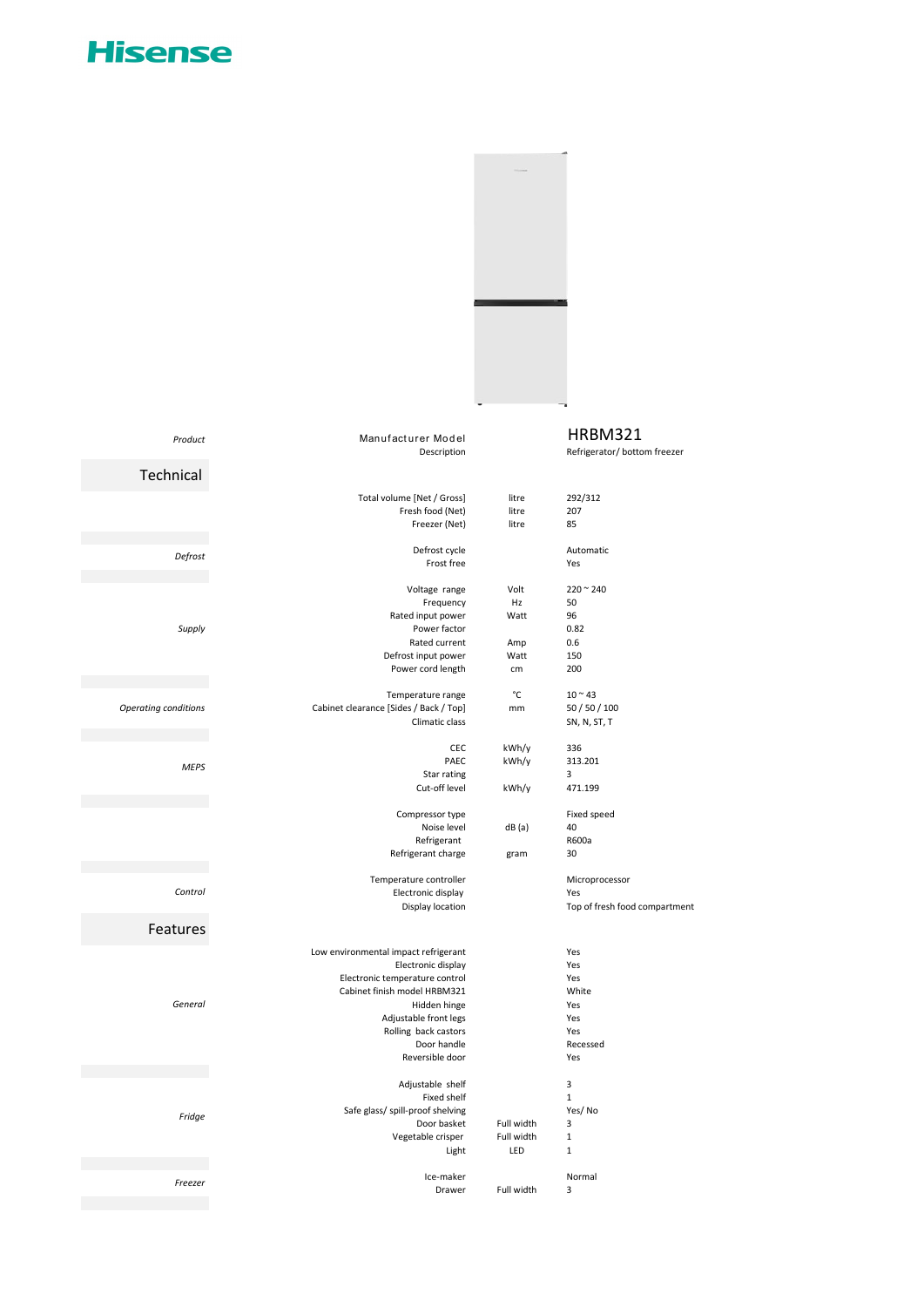## **Hisense**



| Product              | Manufacturer Model                     |            | <b>HRBM321</b>                |
|----------------------|----------------------------------------|------------|-------------------------------|
|                      | Description                            |            | Refrigerator/ bottom freezer  |
|                      |                                        |            |                               |
| Technical            |                                        |            |                               |
|                      | Total volume [Net / Gross]             | litre      | 292/312                       |
|                      | Fresh food (Net)                       | litre      | 207                           |
|                      | Freezer (Net)                          | litre      | 85                            |
|                      |                                        |            |                               |
| Defrost              | Defrost cycle                          |            | Automatic                     |
|                      | Frost free                             |            | Yes                           |
|                      |                                        |            |                               |
|                      | Voltage range                          | Volt<br>Hz | $220 - 240$                   |
|                      | Frequency<br>Rated input power         | Watt       | 50<br>96                      |
| Supply               | Power factor                           |            | 0.82                          |
|                      | Rated current                          | Amp        | 0.6                           |
|                      | Defrost input power                    | Watt       | 150                           |
|                      | Power cord length                      | cm         | 200                           |
|                      |                                        |            |                               |
|                      | Temperature range                      | °C         | $10^{\circ}$ 43               |
| Operating conditions | Cabinet clearance [Sides / Back / Top] | mm         | 50 / 50 / 100                 |
|                      | Climatic class                         |            | SN, N, ST, T                  |
|                      |                                        |            |                               |
|                      | CEC                                    | kWh/y      | 336                           |
| <b>MEPS</b>          | PAEC                                   | kWh/y      | 313.201                       |
|                      | Star rating                            |            | 3                             |
|                      | Cut-off level                          | kWh/y      | 471.199                       |
|                      |                                        |            |                               |
|                      | Compressor type<br>Noise level         | dB(a)      | Fixed speed<br>40             |
|                      | Refrigerant                            |            | R600a                         |
|                      | Refrigerant charge                     | gram       | 30                            |
|                      |                                        |            |                               |
|                      | Temperature controller                 |            | Microprocessor                |
| Control              | Electronic display                     |            | Yes                           |
|                      | Display location                       |            | Top of fresh food compartment |
| Features             |                                        |            |                               |
|                      |                                        |            |                               |
|                      | Low environmental impact refrigerant   |            | Yes                           |
|                      | Electronic display                     |            | Yes                           |
|                      | Electronic temperature control         |            | Yes                           |
|                      | Cabinet finish model HRBM321           |            | White                         |
| General              | Hidden hinge                           |            | Yes                           |
|                      | Adjustable front legs                  |            | Yes                           |
|                      | Rolling back castors                   |            | Yes                           |
|                      | Door handle<br>Reversible door         |            | Recessed<br>Yes               |
|                      |                                        |            |                               |
|                      | Adjustable shelf                       |            | 3                             |
|                      | Fixed shelf                            |            | $\mathbf{1}$                  |
|                      | Safe glass/ spill-proof shelving       |            | Yes/No                        |
| Fridge               | Door basket                            | Full width | 3                             |
|                      | Vegetable crisper                      | Full width | $\mathbf 1$                   |
|                      | Light                                  | LED        | $\mathbf 1$                   |
|                      |                                        |            |                               |
| Freezer              | Ice-maker                              |            | Normal                        |
|                      | Drawer                                 | Full width | 3                             |